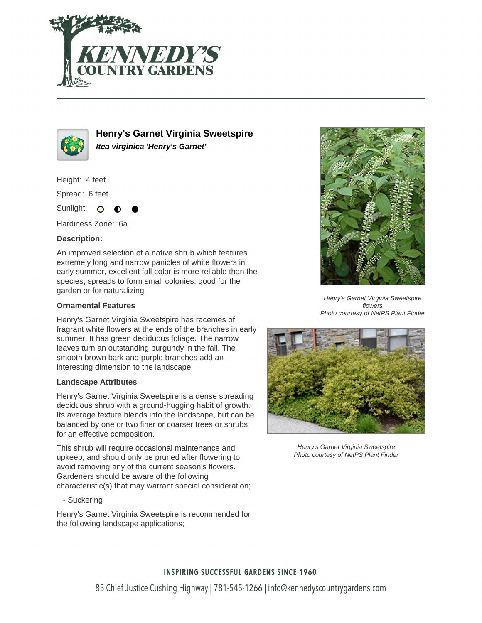



**Henry's Garnet Virginia Sweetspire Itea virginica 'Henry's Garnet'**

Height: 4 feet

Spread: 6 feet

Sunlight: O

Hardiness Zone: 6a

# **Description:**

An improved selection of a native shrub which features extremely long and narrow panicles of white flowers in early summer, excellent fall color is more reliable than the species; spreads to form small colonies, good for the garden or for naturalizing

# **Ornamental Features**

Henry's Garnet Virginia Sweetspire has racemes of fragrant white flowers at the ends of the branches in early summer. It has green deciduous foliage. The narrow leaves turn an outstanding burgundy in the fall. The smooth brown bark and purple branches add an interesting dimension to the landscape.

### **Landscape Attributes**

Henry's Garnet Virginia Sweetspire is a dense spreading deciduous shrub with a ground-hugging habit of growth. Its average texture blends into the landscape, but can be balanced by one or two finer or coarser trees or shrubs for an effective composition.

This shrub will require occasional maintenance and upkeep, and should only be pruned after flowering to avoid removing any of the current season's flowers. Gardeners should be aware of the following characteristic(s) that may warrant special consideration;

- Suckering

Henry's Garnet Virginia Sweetspire is recommended for the following landscape applications;



Henry's Garnet Virginia Sweetspire flowers Photo courtesy of NetPS Plant Finder



Henry's Garnet Virginia Sweetspire Photo courtesy of NetPS Plant Finder

### **INSPIRING SUCCESSFUL GARDENS SINCE 1960**